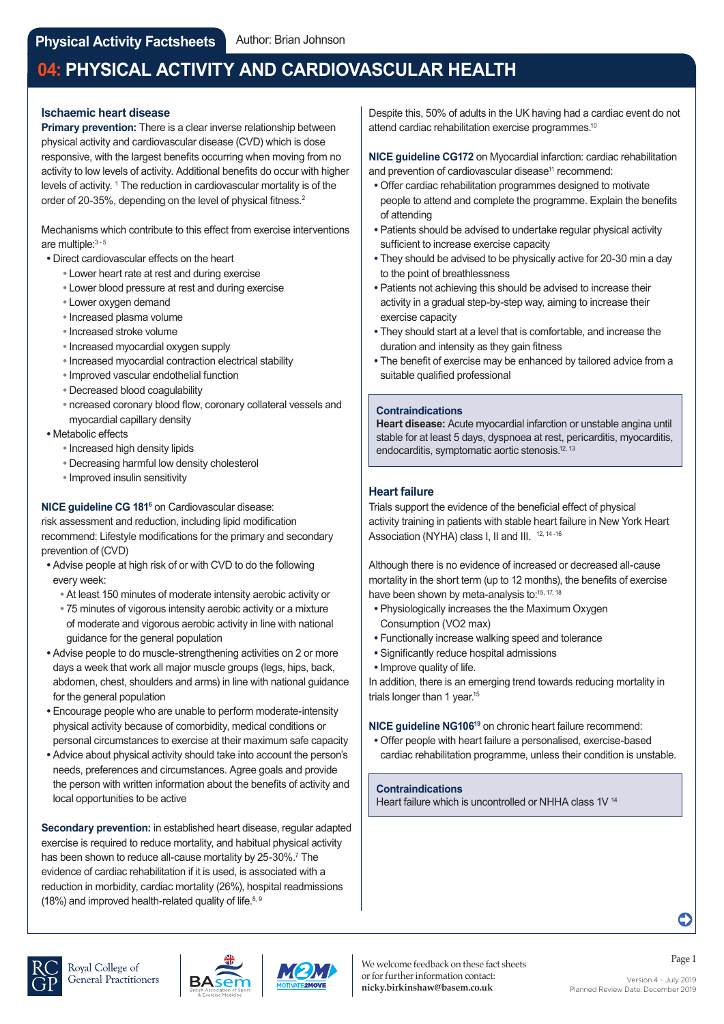## **Ischaemic heart disease**

**Primary prevention:** There is a clear inverse relationship between physical activity and cardiovascular disease (CVD) which is dose responsive, with the largest benefits occurring when moving from no activity to low levels of activity. Additional benefits do occur with higher levels of activity. <sup>1</sup> The reduction in cardiovascular mortality is of the order of 20-35%, depending on the level of physical fitness.<sup>2</sup>

Mechanisms which contribute to this effect from exercise interventions are multiple: 3 - 5

- **•** Direct cardiovascular effects on the heart
	- **•** Lower heart rate at rest and during exercise
	- **•** Lower blood pressure at rest and during exercise
	- **•** Lower oxygen demand
	- **•** Increased plasma volume
	- **•** Increased stroke volume
	- **•** Increased myocardial oxygen supply
	- **•** Increased myocardial contraction electrical stability
	- **•** Improved vascular endothelial function
	- **•** Decreased blood coagulability
	- **•** ncreased coronary blood flow, coronary collateral vessels and myocardial capillary density
- **•** Metabolic effects
	- **•** Increased high density lipids
	- **•** Decreasing harmful low density cholesterol
	- **•** Improved insulin sensitivity

### **NICE guideline CG 1816** on Cardiovascular disease:

risk assessment and reduction, including lipid modification recommend: Lifestyle modifications for the primary and secondary prevention of (CVD)

- **•** Advise people at high risk of or with CVD to do the following every week:
	- **•** At least 150 minutes of moderate intensity aerobic activity or
	- **•** 75 minutes of vigorous intensity aerobic activity or a mixture of moderate and vigorous aerobic activity in line with national guidance for the general population
- **•** Advise people to do muscle-strengthening activities on 2 or more days a week that work all major muscle groups (legs, hips, back, abdomen, chest, shoulders and arms) in line with national guidance for the general population
- **•** Encourage people who are unable to perform moderate-intensity physical activity because of comorbidity, medical conditions or personal circumstances to exercise at their maximum safe capacity
- **•** Advice about physical activity should take into account the person's needs, preferences and circumstances. Agree goals and provide the person with written information about the benefits of activity and local opportunities to be active

**Secondary prevention:** in established heart disease, regular adapted exercise is required to reduce mortality, and habitual physical activity has been shown to reduce all-cause mortality by 25-30%.<sup>7</sup> The evidence of cardiac rehabilitation if it is used, is associated with a reduction in morbidity, cardiac mortality (26%), hospital readmissions (18%) and improved health-related quality of life. $8,9$ 

Despite this, 50% of adults in the UK having had a cardiac event do not attend cardiac rehabilitation exercise programmes.<sup>10</sup>

**NICE guideline CG172** on Myocardial infarction: cardiac rehabilitation and prevention of cardiovascular disease<sup>11</sup> recommend:

- **•** Offer cardiac rehabilitation programmes designed to motivate people to attend and complete the programme. Explain the benefits of attending
- **•** Patients should be advised to undertake regular physical activity sufficient to increase exercise capacity
- **•** They should be advised to be physically active for 20-30 min a day to the point of breathlessness
- **•** Patients not achieving this should be advised to increase their activity in a gradual step-by-step way, aiming to increase their exercise capacity
- **•** They should start at a level that is comfortable, and increase the duration and intensity as they gain fitness
- **•** The benefit of exercise may be enhanced by tailored advice from a suitable qualified professional

#### **Contraindications**

**Heart disease:** Acute myocardial infarction or unstable angina until stable for at least 5 days, dyspnoea at rest, pericarditis, myocarditis, endocarditis, symptomatic aortic stenosis.<sup>12, 13</sup>

#### **Heart failure**

Trials support the evidence of the beneficial effect of physical activity training in patients with stable heart failure in New York Heart Association (NYHA) class I, II and III. 12, 14-16

Although there is no evidence of increased or decreased all-cause mortality in the short term (up to 12 months), the benefits of exercise have been shown by meta-analysis to:<sup>15, 17, 18</sup>

- **•** Physiologically increases the the Maximum Oxygen Consumption (VO2 max)
- **•** Functionally increase walking speed and tolerance
- **•** Significantly reduce hospital admissions
- **•** Improve quality of life.

In addition, there is an emerging trend towards reducing mortality in trials longer than 1 year.<sup>15</sup>

#### **NICE guideline NG10619** on chronic heart failure recommend:

 **•** Offer people with heart failure a personalised, exercise-based cardiac rehabilitation programme, unless their condition is unstable.

#### **Contraindications**

Heart failure which is uncontrolled or NHHA class 1V<sup>14</sup>





Planned Review Date: December 2019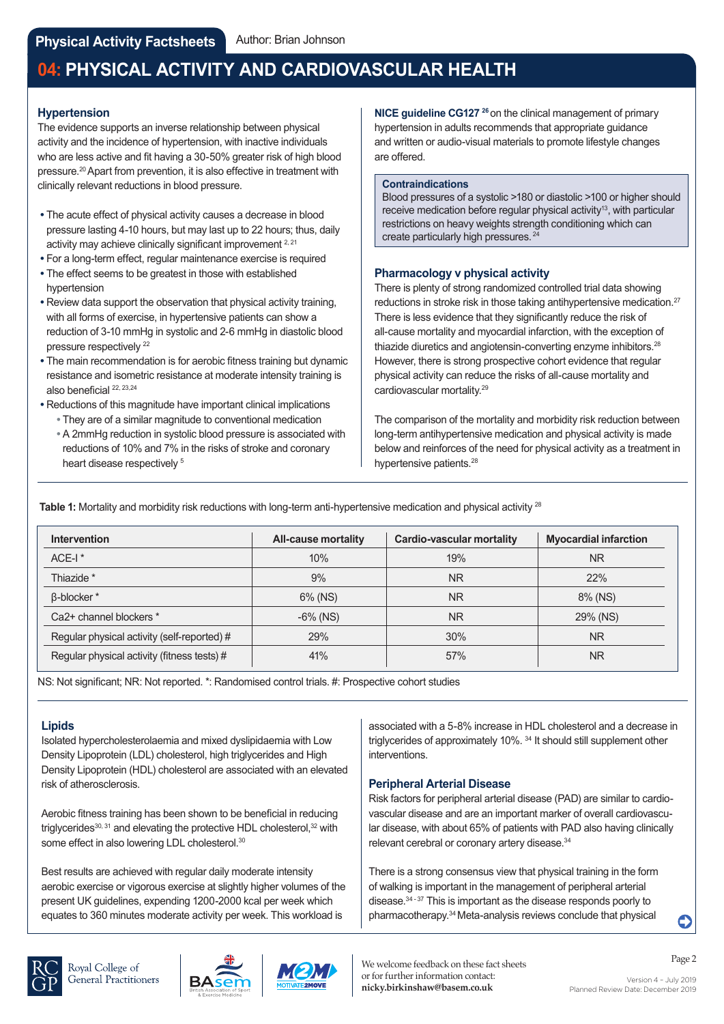## **Hypertension**

The evidence supports an inverse relationship between physical activity and the incidence of hypertension, with inactive individuals who are less active and fit having a 30-50% greater risk of high blood pressure.20 Apart from prevention, it is also effective in treatment with clinically relevant reductions in blood pressure.

- **•** The acute effect of physical activity causes a decrease in blood pressure lasting 4-10 hours, but may last up to 22 hours; thus, daily activity may achieve clinically significant improvement <sup>2, 21</sup>
- **•** For a long-term effect, regular maintenance exercise is required
- **•** The effect seems to be greatest in those with established hypertension
- **•** Review data support the observation that physical activity training, with all forms of exercise, in hypertensive patients can show a reduction of 3-10 mmHg in systolic and 2-6 mmHg in diastolic blood pressure respectively <sup>22</sup>
- **•** The main recommendation is for aerobic fitness training but dynamic resistance and isometric resistance at moderate intensity training is also beneficial 22, 23,24
- **•** Reductions of this magnitude have important clinical implications  **•** They are of a similar magnitude to conventional medication
	- **•** A 2mmHg reduction in systolic blood pressure is associated with reductions of 10% and 7% in the risks of stroke and coronary heart disease respectively<sup>5</sup>

**NICE guideline CG127** <sup>26</sup> on the clinical management of primary hypertension in adults recommends that appropriate guidance and written or audio-visual materials to promote lifestyle changes are offered.

#### **Contraindications**

Blood pressures of a systolic >180 or diastolic >100 or higher should receive medication before regular physical activity<sup>13</sup>, with particular restrictions on heavy weights strength conditioning which can create particularly high pressures.<sup>24</sup>

## **Pharmacology v physical activity**

There is plenty of strong randomized controlled trial data showing reductions in stroke risk in those taking antihypertensive medication.<sup>27</sup> There is less evidence that they significantly reduce the risk of all-cause mortality and myocardial infarction, with the exception of thiazide diuretics and angiotensin-converting enzyme inhibitors.<sup>28</sup> However, there is strong prospective cohort evidence that regular physical activity can reduce the risks of all-cause mortality and cardiovascular mortality.29

The comparison of the mortality and morbidity risk reduction between long-term antihypertensive medication and physical activity is made below and reinforces of the need for physical activity as a treatment in hypertensive patients.<sup>28</sup>

**Table 1:** Mortality and morbidity risk reductions with long-term anti-hypertensive medication and physical activity 28

| <b>Intervention</b>                         | All-cause mortality | <b>Cardio-vascular mortality</b> | <b>Myocardial infarction</b> |
|---------------------------------------------|---------------------|----------------------------------|------------------------------|
| $ACE-I$ <sup>*</sup>                        | 10%                 | 19%                              | <b>NR</b>                    |
| Thiazide *                                  | 9%                  | <b>NR</b>                        | 22%                          |
| <b>B-blocker</b> *                          | 6% (NS)             | <b>NR</b>                        | 8% (NS)                      |
| Ca <sub>2</sub> + channel blockers *        | $-6\%$ (NS)         | <b>NR</b>                        | 29% (NS)                     |
| Regular physical activity (self-reported) # | 29%                 | 30%                              | <b>NR</b>                    |
| Regular physical activity (fitness tests) # | 41%                 | 57%                              | <b>NR</b>                    |

NS: Not significant; NR: Not reported. \*: Randomised control trials. #: Prospective cohort studies

# **Lipids**

Isolated hypercholesterolaemia and mixed dyslipidaemia with Low Density Lipoprotein (LDL) cholesterol, high triglycerides and High Density Lipoprotein (HDL) cholesterol are associated with an elevated risk of atherosclerosis.

Aerobic fitness training has been shown to be beneficial in reducing triglycerides<sup>30, 31</sup> and elevating the protective HDL cholesterol, <sup>32</sup> with some effect in also lowering LDL cholesterol.<sup>30</sup>

Best results are achieved with regular daily moderate intensity aerobic exercise or vigorous exercise at slightly higher volumes of the present UK guidelines, expending 1200-2000 kcal per week which equates to 360 minutes moderate activity per week. This workload is

associated with a 5-8% increase in HDL cholesterol and a decrease in triglycerides of approximately 10%. 34 It should still supplement other interventions.

## **Peripheral Arterial Disease**

Risk factors for peripheral arterial disease (PAD) are similar to cardiovascular disease and are an important marker of overall cardiovascular disease, with about 65% of patients with PAD also having clinically relevant cerebral or coronary artery disease.34

There is a strong consensus view that physical training in the form of walking is important in the management of peripheral arterial disease. $34 - 37$  This is important as the disease responds poorly to pharmacotherapy.34 Meta-analysis reviews conclude that physical







C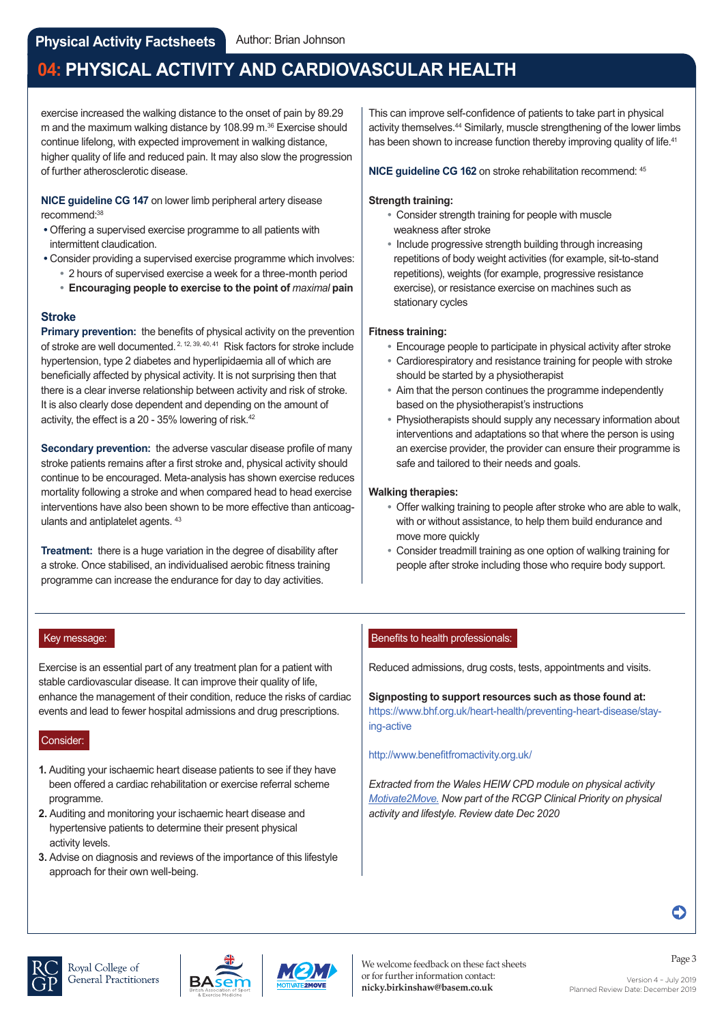exercise increased the walking distance to the onset of pain by 89.29 m and the maximum walking distance by 108.99 m.<sup>36</sup> Exercise should continue lifelong, with expected improvement in walking distance, higher quality of life and reduced pain. It may also slow the progression of further atherosclerotic disease.

**NICE guideline CG 147** on lower limb peripheral artery disease recommend:38

- **•** Offering a supervised exercise programme to all patients with intermittent claudication.
- **•** Consider providing a supervised exercise programme which involves:
	- **•** 2 hours of supervised exercise a week for a three-month period
	- **• Encouraging people to exercise to the point of** *maximal* **pain**

## **Stroke**

**Primary prevention:** the benefits of physical activity on the prevention of stroke are well documented.<sup>2, 12, 39, 40, 41</sup> Risk factors for stroke include hypertension, type 2 diabetes and hyperlipidaemia all of which are beneficially affected by physical activity. It is not surprising then that there is a clear inverse relationship between activity and risk of stroke. It is also clearly dose dependent and depending on the amount of activity, the effect is a 20 - 35% lowering of risk.<sup>42</sup>

**Secondary prevention:** the adverse vascular disease profile of many stroke patients remains after a first stroke and, physical activity should continue to be encouraged. Meta-analysis has shown exercise reduces mortality following a stroke and when compared head to head exercise interventions have also been shown to be more effective than anticoagulants and antiplatelet agents. 43

**Treatment:** there is a huge variation in the degree of disability after a stroke. Once stabilised, an individualised aerobic fitness training programme can increase the endurance for day to day activities.

This can improve self-confidence of patients to take part in physical activity themselves.<sup>44</sup> Similarly, muscle strengthening of the lower limbs has been shown to increase function thereby improving quality of life.<sup>41</sup>

**NICE guideline CG 162** on stroke rehabilitation recommend: 45

#### **Strength training:**

- **•** Consider strength training for people with muscle weakness after stroke
- **•** Include progressive strength building through increasing repetitions of body weight activities (for example, sit-to-stand repetitions), weights (for example, progressive resistance exercise), or resistance exercise on machines such as stationary cycles

## **Fitness training:**

- **•** Encourage people to participate in physical activity after stroke
- **•** Cardiorespiratory and resistance training for people with stroke should be started by a physiotherapist
- **•** Aim that the person continues the programme independently based on the physiotherapist's instructions
- **•** Physiotherapists should supply any necessary information about interventions and adaptations so that where the person is using an exercise provider, the provider can ensure their programme is safe and tailored to their needs and goals.

#### **Walking therapies:**

- **•** Offer walking training to people after stroke who are able to walk, with or without assistance, to help them build endurance and move more quickly
- **•** Consider treadmill training as one option of walking training for people after stroke including those who require body support.

#### Key message:

Exercise is an essential part of any treatment plan for a patient with stable cardiovascular disease. It can improve their quality of life, enhance the management of their condition, reduce the risks of cardiac events and lead to fewer hospital admissions and drug prescriptions.

#### Consider:

- **1.** Auditing your ischaemic heart disease patients to see if they have been offered a cardiac rehabilitation or exercise referral scheme programme.
- **2.** Auditing and monitoring your ischaemic heart disease and hypertensive patients to determine their present physical activity levels.
- **3.** Advise on diagnosis and reviews of the importance of this lifestyle approach for their own well-being.

## Benefits to health professionals:

Reduced admissions, drug costs, tests, appointments and visits.

**Signposting to support resources such as those found at:**  [https://www.bhf.org.uk/heart-health/preventing-heart-disease/stay](https://www.bhf.org.uk/heart-health/preventing-heart-disease/staying-active)ing-active

#### <http://www.benefitfromactivity.org.uk/>

*Extracted from the Wales HEIW CPD module on physical activity [Motivate2Move. Now](https://gpcpd.walesdeanery.org/index.php/welcome-to-motivate-2-move) part of the RCGP Clinical Priority on physical activity and lifestyle. Review date Dec 2020*







C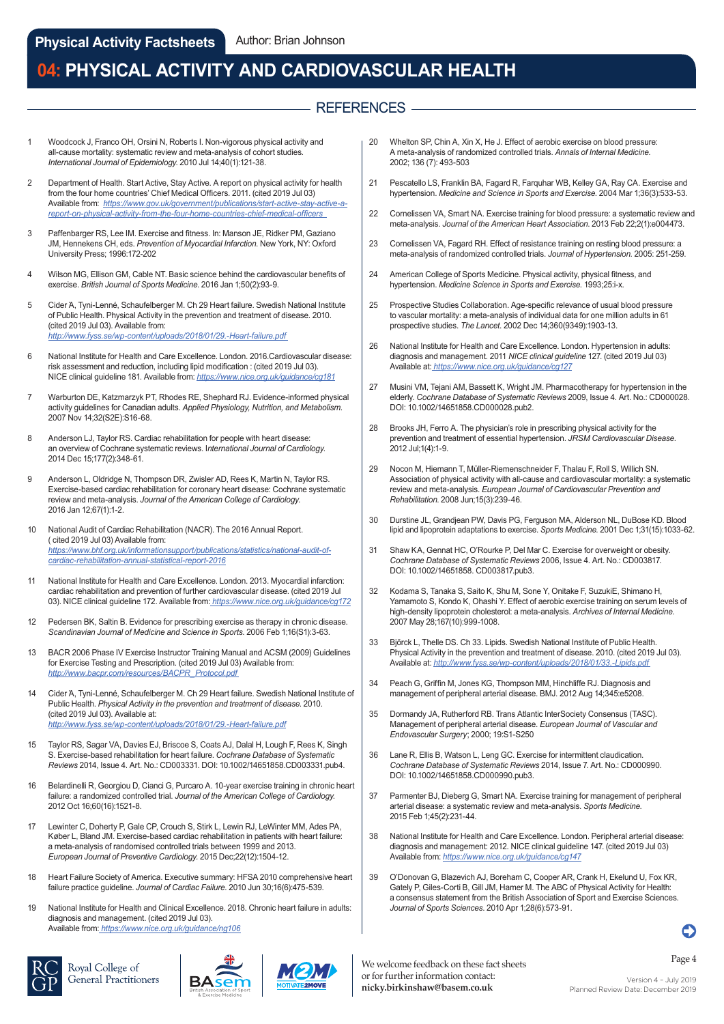## - REFERENCES -

- Woodcock J, Franco OH, Orsini N, Roberts I. Non-vigorous physical activity and all-cause mortality: systematic review and meta-analysis of cohort studies. *International Journal of Epidemiology*. 2010 Jul 14;40(1):121-38.
- 2 [Department of Health. Start Active, Stay Active. A report on physical activity for health](https://www.gov.uk/government/publications/start-active-stay-active-a-report-on-physical-activity-from-the-four-home-countries-chief-medical-officers)  from the four home countries' Chief Medical Officers. 2011. (cited 2019 Jul 03) Available from: *https://www.gov.uk/government/publications/start-active-stay-active-areport-on-physical-activity-from-the-four-home-countries-chief-medical-officers*
- 3 Paffenbarger RS, Lee IM. Exercise and fitness. In: Manson JE, Ridker PM, Gaziano JM, Hennekens CH, eds. *Prevention of Myocardial Infarction*. New York, NY: Oxford University Press; 1996:172-202
- 4 Wilson MG, Ellison GM, Cable NT. Basic science behind the cardiovascular benefits of exercise. *British Journal of Sports Medicine*. 2016 Jan 1;50(2):93-9.
- 5 Cider Ά, Tyni-Lenné, Schaufelberger M. Ch 29 Heart failure. Swedish National Institute of Public Health. Physical Activity in the prevention and treatment of disease. 2010. (cited 2019 Jul 03). Available from: *<http://www.fyss.se/wp-content/uploads/2018/01/29.-Heart-failure.pdf>*
- 6 National Institute for Health and Care Excellence. London. 2016.Cardiovascular disease: risk assessment and reduction, including lipid modification : (cited 2019 Jul 03). NICE clinical guideline 181. Available from: *<https://www.nice.org.uk/guidance/cg181>*
- 7 Warburton DE, Katzmarzyk PT, Rhodes RE, Shephard RJ. Evidence-informed physical activity guidelines for Canadian adults. *Applied Physiology, Nutrition, and Metabolism.* 2007 Nov 14;32(S2E):S16-68.
- 8 Anderson LJ, Taylor RS. Cardiac rehabilitation for people with heart disease: an overview of Cochrane systematic reviews. I*nternational Journal of Cardiology.* 2014 Dec 15;177(2):348-61.
- 9 Anderson L, Oldridge N, Thompson DR, Zwisler AD, Rees K, Martin N, Taylor RS. Exercise-based cardiac rehabilitation for coronary heart disease: Cochrane systematic review and meta-analysis. *Journal of the American College of Cardiology*. 2016 Jan 12;67(1):1-2.
- 10 National Audit of Cardiac Rehabilitation (NACR). The 2016 Annual Report. ( cited 2019 Jul 03) Available from: *[https://www.bhf.org.uk/informationsupport/publications/statistics/national-audit-of](https://www.bhf.org.uk/informationsupport/publications/statistics/national-audit-of-cardiac-rehabilitation-annual-statistical-report-2016)cardiac-rehabilitation-annual-statistical-report-2016*
- 11 National Institute for Health and Care Excellence. London. 2013. Myocardial infarction: cardiac rehabilitation and prevention of further cardiovascular disease. (cited 2019 Jul 03). NICE clinical guideline 172. Available from:*<https://www.nice.org.uk/guidance/cg172>*
- 12 Pedersen BK, Saltin B. Evidence for prescribing exercise as therapy in chronic disease. *Scandinavian Journal of Medicine and Science in Sports*. 2006 Feb 1;16(S1):3-63.
- 13 BACR 2006 Phase IV Exercise Instructor Training Manual and ACSM (2009) Guidelines for Exercise Testing and Prescription. (cited 2019 Jul 03) Available from: *[http://www.bacpr.com/resources/BACPR\\_Protocol.pdf](http://www.bacpr.com/resources/BACPR_Protocol.pdf)*
- 14 Cider Ά, Tyni-Lenné, Schaufelberger M. Ch 29 Heart failure. Swedish National Institute of Public Health. *Physical Activity in the prevention and treatment of disease*. 2010. (cited 2019 Jul 03). Available at: *<http://www.fyss.se/wp-content/uploads/2018/01/29.-Heart-failure.pdf>*
- 15 Taylor RS, Sagar VA, Davies EJ, Briscoe S, Coats AJ, Dalal H, Lough F, Rees K, Singh S. Exercise-based rehabilitation for heart failure. *Cochrane Database of Systematic Reviews* 2014, Issue 4. Art. No.: CD003331. DOI: 10.1002/14651858.CD003331.pub4.
- 16 Belardinelli R, Georgiou D, Cianci G, Purcaro A. 10-year exercise training in chronic heart failure: a randomized controlled trial. *Journal of the American College of Cardiology*. 2012 Oct 16;60(16):1521-8.
- 17 Lewinter C, Doherty P, Gale CP, Crouch S, Stirk L, Lewin RJ, LeWinter MM, Ades PA, Køber L, Bland JM. Exercise-based cardiac rehabilitation in patients with heart failure: a meta-analysis of randomised controlled trials between 1999 and 2013. *European Journal of Preventive Cardiology.* 2015 Dec;22(12):1504-12.
- 18 Heart Failure Society of America. Executive summary: HFSA 2010 comprehensive heart failure practice guideline. *Journal of Cardiac Failure.* 2010 Jun 30;16(6):475-539.
- 19 National Institute for Health and Clinical Excellence. 2018. Chronic heart failure in adults: diagnosis and management. (cited 2019 Jul 03). Available from:*<https://www.nice.org.uk/guidance/ng106>*



Royal College of General Practitioners





- 20 Whelton SP, Chin A, Xin X, He J. Effect of aerobic exercise on blood pressure: A meta-analysis of randomized controlled trials. *Annals of Internal Medicine*. 2002; 136 (7): 493-503
- 21 Pescatello LS, Franklin BA, Fagard R, Farquhar WB, Kelley GA, Ray CA. Exercise and hypertension. *Medicine and Science in Sports and Exercise*. 2004 Mar 1;36(3):533-53.
- 22 Cornelissen VA, Smart NA. Exercise training for blood pressure: a systematic review and meta-analysis. *Journal of the American Heart Association*. 2013 Feb 22;2(1):e004473.
- 23 Cornelissen VA, Fagard RH. Effect of resistance training on resting blood pressure: a meta-analysis of randomized controlled trials. *Journal of Hypertension*. 2005: 251-259.
- 24 American College of Sports Medicine. Physical activity, physical fitness, and hypertension. *Medicine Science in Sports and Exercise*. 1993;25:i-x.
- 25 Prospective Studies Collaboration. Age-specific relevance of usual blood pressure to vascular mortality: a meta-analysis of individual data for one million adults in 61 prospective studies. *The Lancet*. 2002 Dec 14;360(9349):1903-13.
- 26 National Institute for Health and Care Excellence. London. Hypertension in adults: diagnosis and management. 2011 *NICE clinical guideline* 127. (cited 2019 Jul 03) Available at:*<https://www.nice.org.uk/guidance/cg127>*
- 27 Musini VM, Tejani AM, Bassett K, Wright JM. Pharmacotherapy for hypertension in the elderly. *Cochrane Database of Systematic Reviews* 2009, Issue 4. Art. No.: CD000028. DOI: 10.1002/14651858.CD000028.pub2.
- 28 Brooks JH, Ferro A. The physician's role in prescribing physical activity for the prevention and treatment of essential hypertension. *JRSM Cardiovascular Disease.* 2012 Jul;1(4):1-9.
- 29 Nocon M, Hiemann T, Müller-Riemenschneider F, Thalau F, Roll S, Willich SN. Association of physical activity with all-cause and cardiovascular mortality: a systematic review and meta-analysis. *European Journal of Cardiovascular Prevention and Rehabilitation*. 2008 Jun;15(3):239-46.
- 30 Durstine JL, Grandjean PW, Davis PG, Ferguson MA, Alderson NL, DuBose KD. Blood lipid and lipoprotein adaptations to exercise. *Sports Medicine*. 2001 Dec 1;31(15):1033-62.
- 31 Shaw KA, Gennat HC, O'Rourke P, Del Mar C. Exercise for overweight or obesity. *Cochrane Database of Systematic Reviews* 2006, Issue 4. Art. No.: CD003817. DOI: 10.1002/14651858. CD003817.pub3.
- 32 Kodama S, Tanaka S, Saito K, Shu M, Sone Y, Onitake F, SuzukiE, Shimano H, Yamamoto S, Kondo K, Ohashi Y. Effect of aerobic exercise training on serum levels of high-density lipoprotein cholesterol: a meta-analysis. *Archives of Internal Medicine*. 2007 May 28;167(10):999-1008.
- 33 Björck L, Thelle DS. Ch 33. Lipids. Swedish National Institute of Public Health. [Physical Activity in the prevention and treatment of disease. 2010. \(cited 2019 Jul 03\).](http://www.fyss.se/wp-content/uploads/2018/01/33.-Lipids.pdf)  Available at: *http://www.fyss.se/wp-content/uploads/2018/01/33.-Lipids.pdf*
- 34 Peach G, Griffin M, Jones KG, Thompson MM, Hinchliffe RJ. Diagnosis and management of peripheral arterial disease. BMJ. 2012 Aug 14;345:e5208.
- 35 Dormandy JA, Rutherford RB. Trans Atlantic InterSociety Consensus (TASC). Management of peripheral arterial disease. *European Journal of Vascular and Endovascular Surgery*; 2000; 19:S1-S250
- 36 Lane R, Ellis B, Watson L, Leng GC. Exercise for intermittent claudication. *Cochrane Database of Systematic Reviews* 2014, Issue 7. Art. No.: CD000990. DOI: 10.1002/14651858.CD000990.pub3.
- 37 Parmenter BJ, Dieberg G, Smart NA. Exercise training for management of peripheral arterial disease: a systematic review and meta-analysis. *Sports Medicine*. 2015 Feb 1;45(2):231-44.
- 38 [National Institute for Health and Care Excellence. London. Pe](https://www.nice.org.uk/guidance/cg147)ripheral arterial disease: diagnosis and management: 2012. NICE clinical guideline 147. (cited 2019 Jul 03) Available from: *https://www.nice.org.uk/guidance/cg147*
- 39 O'Donovan G, Blazevich AJ, Boreham C, Cooper AR, Crank H, Ekelund U, Fox KR, Gately P, Giles-Corti B, Gill JM, Hamer M. The ABC of Physical Activity for Health: a consensus statement from the British Association of Sport and Exercise Sciences. *Journal of Sports Sciences*. 2010 Apr 1;28(6):573-91.

Page 4 We welcome feedback on these fact sheets or for further information contact: **nicky.birkinshaw@basem.co.uk**